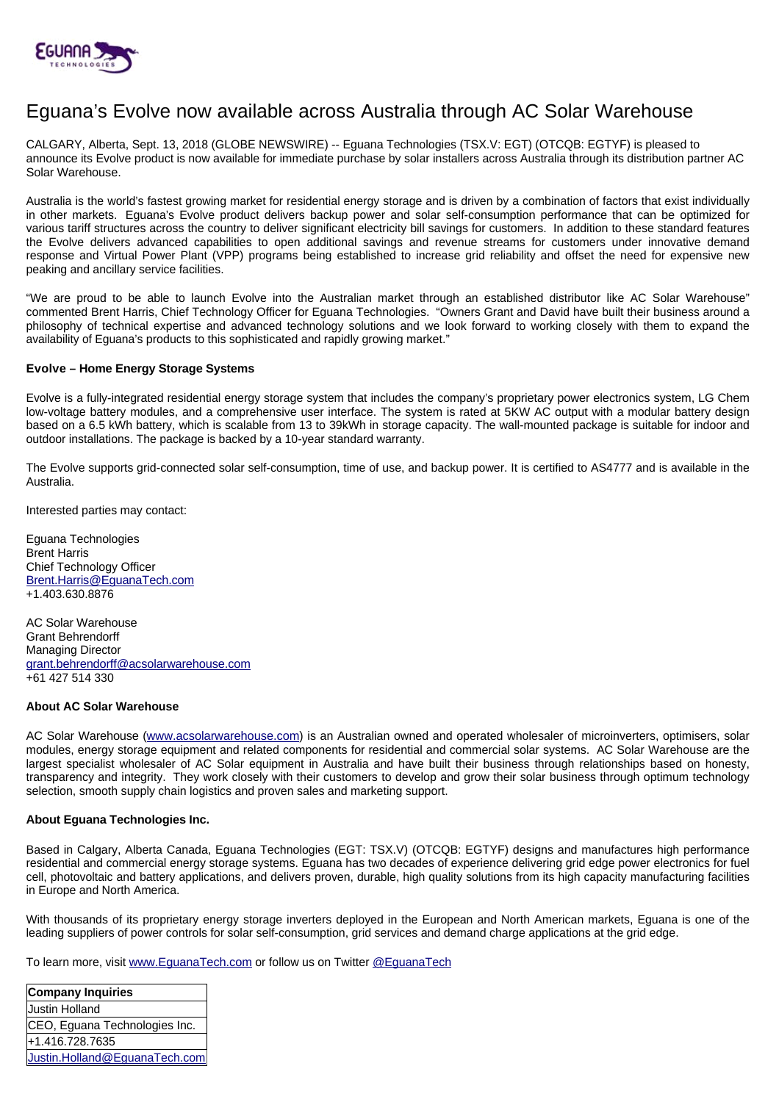

# Eguana's Evolve now available across Australia through AC Solar Warehouse

CALGARY, Alberta, Sept. 13, 2018 (GLOBE NEWSWIRE) -- Eguana Technologies (TSX.V: EGT) (OTCQB: EGTYF) is pleased to announce its Evolve product is now available for immediate purchase by solar installers across Australia through its distribution partner AC Solar Warehouse.

Australia is the world's fastest growing market for residential energy storage and is driven by a combination of factors that exist individually in other markets. Eguana's Evolve product delivers backup power and solar self-consumption performance that can be optimized for various tariff structures across the country to deliver significant electricity bill savings for customers. In addition to these standard features the Evolve delivers advanced capabilities to open additional savings and revenue streams for customers under innovative demand response and Virtual Power Plant (VPP) programs being established to increase grid reliability and offset the need for expensive new peaking and ancillary service facilities.

"We are proud to be able to launch Evolve into the Australian market through an established distributor like AC Solar Warehouse" commented Brent Harris, Chief Technology Officer for Eguana Technologies. "Owners Grant and David have built their business around a philosophy of technical expertise and advanced technology solutions and we look forward to working closely with them to expand the availability of Eguana's products to this sophisticated and rapidly growing market."

## **Evolve – Home Energy Storage Systems**

Evolve is a fully-integrated residential energy storage system that includes the company's proprietary power electronics system, LG Chem low-voltage battery modules, and a comprehensive user interface. The system is rated at 5KW AC output with a modular battery design based on a 6.5 kWh battery, which is scalable from 13 to 39kWh in storage capacity. The wall-mounted package is suitable for indoor and outdoor installations. The package is backed by a 10-year standard warranty.

The Evolve supports grid-connected solar self-consumption, time of use, and backup power. It is certified to AS4777 and is available in the Australia.

Interested parties may contact:

Eguana Technologies Brent Harris Chief Technology Officer [Brent.Harris@EguanaTech.com](mailto:Brent.Harris@EguanaTech.com) +1.403.630.8876

AC Solar Warehouse Grant Behrendorff Managing Director [grant.behrendorff@acsolarwarehouse.com](mailto:grant.behrendorff@acsolarwarehouse.com) +61 427 514 330

## **About AC Solar Warehouse**

AC Solar Warehouse [\(www.acsolarwarehouse.com\)](http://www.acsolarwarehouse.com/) is an Australian owned and operated wholesaler of microinverters, optimisers, solar modules, energy storage equipment and related components for residential and commercial solar systems. AC Solar Warehouse are the largest specialist wholesaler of AC Solar equipment in Australia and have built their business through relationships based on honesty, transparency and integrity. They work closely with their customers to develop and grow their solar business through optimum technology selection, smooth supply chain logistics and proven sales and marketing support.

## **About Eguana Technologies Inc.**

Based in Calgary, Alberta Canada, Eguana Technologies (EGT: TSX.V) (OTCQB: EGTYF) designs and manufactures high performance residential and commercial energy storage systems. Eguana has two decades of experience delivering grid edge power electronics for fuel cell, photovoltaic and battery applications, and delivers proven, durable, high quality solutions from its high capacity manufacturing facilities in Europe and North America.

With thousands of its proprietary energy storage inverters deployed in the European and North American markets, Eguana is one of the leading suppliers of power controls for solar self-consumption, grid services and demand charge applications at the grid edge.

To learn more, visit [www.EguanaTech.com](http://www.eguanatech.com/) or follow us on Twitter [@EguanaTech](https://twitter.com/EguanaTech)

| Company Inquiries             |
|-------------------------------|
| Justin Holland                |
| CEO, Eguana Technologies Inc. |
| +1.416.728.7635               |
| Justin.Holland@EguanaTech.com |